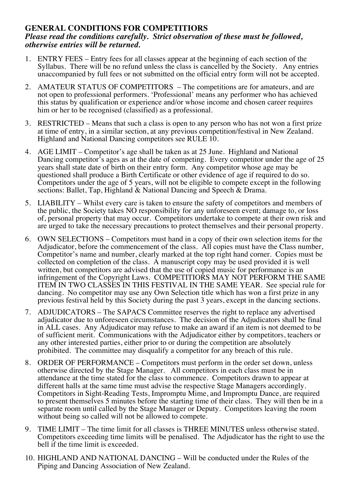## **GENERAL CONDITIONS FOR COMPETITIORS** *Please read the conditions carefully. Strict observation of these must be followed, otherwise entries will be returned.*

- 1. ENTRY FEES Entry fees for all classes appear at the beginning of each section of the Syllabus. There will be no refund unless the class is cancelled by the Society. Any entries unaccompanied by full fees or not submitted on the official entry form will not be accepted.
- 2. AMATEUR STATUS OF COMPETITORS The competitions are for amateurs, and are not open to professional performers. 'Professional' means any performer who has achieved this status by qualification or experience and/or whose income and chosen career requires him or her to be recognised (classified) as a professional.
- 3. RESTRICTED Means that such a class is open to any person who has not won a first prize at time of entry, in a similar section, at any previous competition/festival in New Zealand. Highland and National Dancing competitors see RULE 10.
- 4. AGE LIMIT Competitor's age shall be taken as at 25 June. Highland and National Dancing competitor's ages as at the date of competing. Every competitor under the age of 25 years shall state date of birth on their entry form. Any competitor whose age may be questioned shall produce a Birth Certificate or other evidence of age if required to do so. Competitors under the age of 5 years, will not be eligible to compete except in the following sections: Ballet, Tap, Highland & National Dancing and Speech & Drama.
- 5. LIABILITY Whilst every care is taken to ensure the safety of competitors and members of the public, the Society takes NO responsibility for any unforeseen event; damage to, or loss of, personal property that may occur. Competitors undertake to compete at their own risk and are urged to take the necessary precautions to protect themselves and their personal property.
- 6. OWN SELECTIONS Competitors must hand in a copy of their own selection items for the Adjudicator, before the commencement of the class. All copies must have the Class number, Competitor's name and number, clearly marked at the top right hand corner. Copies must be collected on completion of the class. A manuscript copy may be used provided it is well written, but competitors are advised that the use of copied music for performance is an infringement of the Copyright Laws. COMPETITIORS MAY NOT PERFORM THE SAME ITEM IN TWO CLASSES IN THIS FESTIVAL IN THE SAME YEAR. See special rule for dancing. No competitor may use any Own Selection title which has won a first prize in any previous festival held by this Society during the past 3 years, except in the dancing sections.
- 7. ADJUDICATORS The SAPACS Committee reserves the right to replace any advertised adjudicator due to unforeseen circumstances. The decision of the Adjudicators shall be final in ALL cases. Any Adjudicator may refuse to make an award if an item is not deemed to be of sufficient merit. Communications with the Adjudicator either by competitors, teachers or any other interested parties, either prior to or during the competition are absolutely prohibited. The committee may disqualify a competitor for any breach of this rule.
- 8. ORDER OF PERFORMANCE Competitors must perform in the order set down, unless otherwise directed by the Stage Manager. All competitors in each class must be in attendance at the time stated for the class to commence. Competitors drawn to appear at different halls at the same time must advise the respective Stage Managers accordingly. Competitors in Sight-Reading Tests, Impromptu Mime, and Impromptu Dance, are required to present themselves 5 minutes before the starting time of their class. They will then be in a separate room until called by the Stage Manager or Deputy. Competitors leaving the room without being so called will not be allowed to compete.
- 9. TIME LIMIT The time limit for all classes is THREE MINUTES unless otherwise stated. Competitors exceeding time limits will be penalised. The Adjudicator has the right to use the bell if the time limit is exceeded.
- 10. HIGHLAND AND NATIONAL DANCING Will be conducted under the Rules of the Piping and Dancing Association of New Zealand.